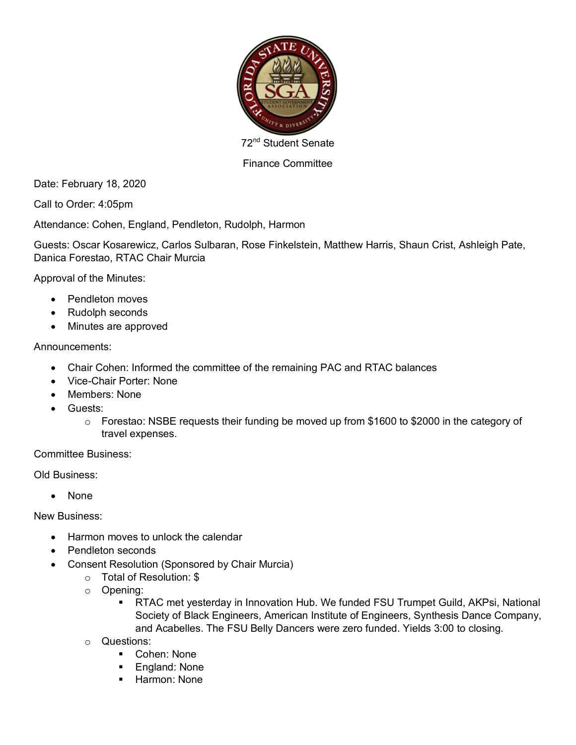

72<sup>nd</sup> Student Senate

## Finance Committee

Date: February 18, 2020

Call to Order: 4:05pm

Attendance: Cohen, England, Pendleton, Rudolph, Harmon

Guests: Oscar Kosarewicz, Carlos Sulbaran, Rose Finkelstein, Matthew Harris, Shaun Crist, Ashleigh Pate, Danica Forestao, RTAC Chair Murcia

Approval of the Minutes:

- Pendleton moves
- Rudolph seconds
- Minutes are approved

## Announcements:

- Chair Cohen: Informed the committee of the remaining PAC and RTAC balances
- Vice-Chair Porter: None
- Members: None
- Guests:
	- o Forestao: NSBE requests their funding be moved up from \$1600 to \$2000 in the category of travel expenses.

Committee Business:

Old Business:

• None

New Business:

- Harmon moves to unlock the calendar
- Pendleton seconds
- Consent Resolution (Sponsored by Chair Murcia)
	- o Total of Resolution: \$
	- o Opening:
		- RTAC met yesterday in Innovation Hub. We funded FSU Trumpet Guild, AKPsi, National Society of Black Engineers, American Institute of Engineers, Synthesis Dance Company, and Acabelles. The FSU Belly Dancers were zero funded. Yields 3:00 to closing.
	- o Questions:
		- Cohen: None
		- England: None
		- § Harmon: None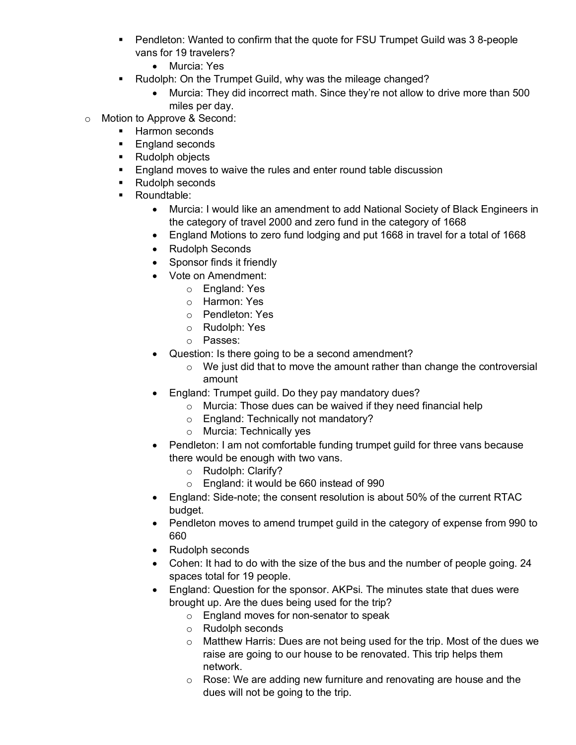- § Pendleton: Wanted to confirm that the quote for FSU Trumpet Guild was 3 8-people vans for 19 travelers?
	- Murcia: Yes
- Rudolph: On the Trumpet Guild, why was the mileage changed?
	- Murcia: They did incorrect math. Since they're not allow to drive more than 500 miles per day.
- o Motion to Approve & Second:
	- Harmon seconds
	- England seconds
	- Rudolph objects
	- England moves to waive the rules and enter round table discussion
	- Rudolph seconds
	- Roundtable:
		- Murcia: I would like an amendment to add National Society of Black Engineers in the category of travel 2000 and zero fund in the category of 1668
		- England Motions to zero fund lodging and put 1668 in travel for a total of 1668
		- Rudolph Seconds
		- Sponsor finds it friendly
		- Vote on Amendment:
			- o England: Yes
			- o Harmon: Yes
			- o Pendleton: Yes
			- o Rudolph: Yes
			- o Passes:
		- Question: Is there going to be a second amendment?
			- $\circ$  We just did that to move the amount rather than change the controversial amount
		- England: Trumpet guild. Do they pay mandatory dues?
			- o Murcia: Those dues can be waived if they need financial help
			- o England: Technically not mandatory?
			- o Murcia: Technically yes
		- Pendleton: I am not comfortable funding trumpet guild for three vans because there would be enough with two vans.
			- o Rudolph: Clarify?
			- o England: it would be 660 instead of 990
		- England: Side-note; the consent resolution is about 50% of the current RTAC budget.
		- Pendleton moves to amend trumpet guild in the category of expense from 990 to 660
		- Rudolph seconds
		- Cohen: It had to do with the size of the bus and the number of people going. 24 spaces total for 19 people.
		- England: Question for the sponsor. AKPsi. The minutes state that dues were brought up. Are the dues being used for the trip?
			- o England moves for non-senator to speak
			- o Rudolph seconds
			- o Matthew Harris: Dues are not being used for the trip. Most of the dues we raise are going to our house to be renovated. This trip helps them network.
			- o Rose: We are adding new furniture and renovating are house and the dues will not be going to the trip.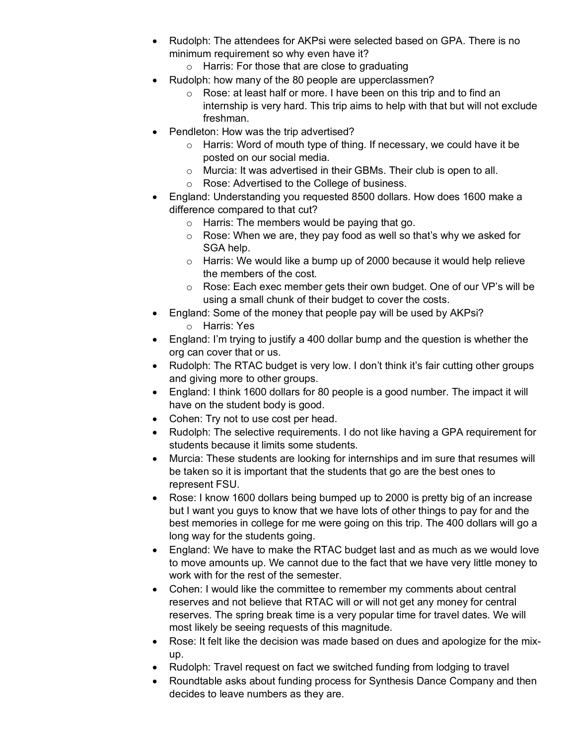- Rudolph: The attendees for AKPsi were selected based on GPA. There is no minimum requirement so why even have it?
	- o Harris: For those that are close to graduating
- Rudolph: how many of the 80 people are upperclassmen?
	- o Rose: at least half or more. I have been on this trip and to find an internship is very hard. This trip aims to help with that but will not exclude freshman.
- Pendleton: How was the trip advertised?
	- o Harris: Word of mouth type of thing. If necessary, we could have it be posted on our social media.
	- o Murcia: It was advertised in their GBMs. Their club is open to all.
	- o Rose: Advertised to the College of business.
- England: Understanding you requested 8500 dollars. How does 1600 make a difference compared to that cut?
	- o Harris: The members would be paying that go.
	- o Rose: When we are, they pay food as well so that's why we asked for SGA help.
	- o Harris: We would like a bump up of 2000 because it would help relieve the members of the cost.
	- o Rose: Each exec member gets their own budget. One of our VP's will be using a small chunk of their budget to cover the costs.
- England: Some of the money that people pay will be used by AKPsi? o Harris: Yes
- England: I'm trying to justify a 400 dollar bump and the question is whether the org can cover that or us.
- Rudolph: The RTAC budget is very low. I don't think it's fair cutting other groups and giving more to other groups.
- England: I think 1600 dollars for 80 people is a good number. The impact it will have on the student body is good.
- Cohen: Try not to use cost per head.
- Rudolph: The selective requirements. I do not like having a GPA requirement for students because it limits some students.
- Murcia: These students are looking for internships and im sure that resumes will be taken so it is important that the students that go are the best ones to represent FSU.
- Rose: I know 1600 dollars being bumped up to 2000 is pretty big of an increase but I want you guys to know that we have lots of other things to pay for and the best memories in college for me were going on this trip. The 400 dollars will go a long way for the students going.
- England: We have to make the RTAC budget last and as much as we would love to move amounts up. We cannot due to the fact that we have very little money to work with for the rest of the semester.
- Cohen: I would like the committee to remember my comments about central reserves and not believe that RTAC will or will not get any money for central reserves. The spring break time is a very popular time for travel dates. We will most likely be seeing requests of this magnitude.
- Rose: It felt like the decision was made based on dues and apologize for the mixup.
- Rudolph: Travel request on fact we switched funding from lodging to travel
- Roundtable asks about funding process for Synthesis Dance Company and then decides to leave numbers as they are.